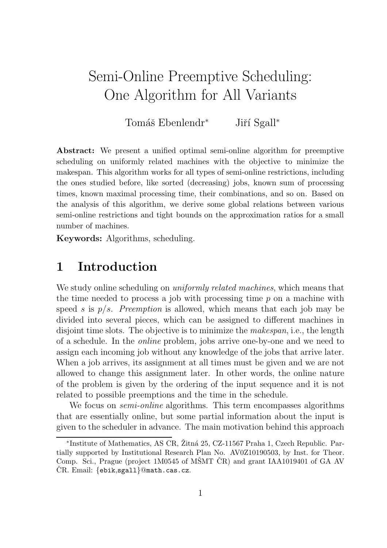# Semi-Online Preemptive Scheduling: One Algorithm for All Variants

Tomáš Ebenlendr<sup>∗</sup> Jiří Sgall<sup>∗</sup>

Abstract: We present a unified optimal semi-online algorithm for preemptive scheduling on uniformly related machines with the objective to minimize the makespan. This algorithm works for all types of semi-online restrictions, including the ones studied before, like sorted (decreasing) jobs, known sum of processing times, known maximal processing time, their combinations, and so on. Based on the analysis of this algorithm, we derive some global relations between various semi-online restrictions and tight bounds on the approximation ratios for a small number of machines.

Keywords: Algorithms, scheduling.

## 1 Introduction

We study online scheduling on *uniformly related machines*, which means that the time needed to process a job with processing time  $p$  on a machine with speed s is  $p/s$ . Preemption is allowed, which means that each job may be divided into several pieces, which can be assigned to different machines in disjoint time slots. The objective is to minimize the *makespan*, i.e., the length of a schedule. In the online problem, jobs arrive one-by-one and we need to assign each incoming job without any knowledge of the jobs that arrive later. When a job arrives, its assignment at all times must be given and we are not allowed to change this assignment later. In other words, the online nature of the problem is given by the ordering of the input sequence and it is not related to possible preemptions and the time in the schedule.

We focus on *semi-online* algorithms. This term encompasses algorithms that are essentially online, but some partial information about the input is given to the scheduler in advance. The main motivation behind this approach

<sup>\*</sup>Institute of Mathematics, AS CR, Žitná 25, CZ-11567 Praha 1, Czech Republic. Partially supported by Institutional Research Plan No. AV0Z10190503, by Inst. for Theor. Comp. Sci., Prague (project 1M0545 of MSMT  $\check{C}R$ ) and grant IAA1019401 of GA AV  $CR.$  Email:  $\{ebik,sgall\}$ @math.cas.cz.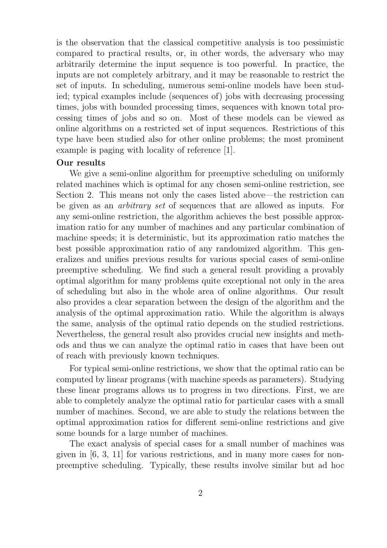is the observation that the classical competitive analysis is too pessimistic compared to practical results, or, in other words, the adversary who may arbitrarily determine the input sequence is too powerful. In practice, the inputs are not completely arbitrary, and it may be reasonable to restrict the set of inputs. In scheduling, numerous semi-online models have been studied; typical examples include (sequences of) jobs with decreasing processing times, jobs with bounded processing times, sequences with known total processing times of jobs and so on. Most of these models can be viewed as online algorithms on a restricted set of input sequences. Restrictions of this type have been studied also for other online problems; the most prominent example is paging with locality of reference [1].

### Our results

We give a semi-online algorithm for preemptive scheduling on uniformly related machines which is optimal for any chosen semi-online restriction, see Section 2. This means not only the cases listed above—the restriction can be given as an arbitrary set of sequences that are allowed as inputs. For any semi-online restriction, the algorithm achieves the best possible approximation ratio for any number of machines and any particular combination of machine speeds; it is deterministic, but its approximation ratio matches the best possible approximation ratio of any randomized algorithm. This generalizes and unifies previous results for various special cases of semi-online preemptive scheduling. We find such a general result providing a provably optimal algorithm for many problems quite exceptional not only in the area of scheduling but also in the whole area of online algorithms. Our result also provides a clear separation between the design of the algorithm and the analysis of the optimal approximation ratio. While the algorithm is always the same, analysis of the optimal ratio depends on the studied restrictions. Nevertheless, the general result also provides crucial new insights and methods and thus we can analyze the optimal ratio in cases that have been out of reach with previously known techniques.

For typical semi-online restrictions, we show that the optimal ratio can be computed by linear programs (with machine speeds as parameters). Studying these linear programs allows us to progress in two directions. First, we are able to completely analyze the optimal ratio for particular cases with a small number of machines. Second, we are able to study the relations between the optimal approximation ratios for different semi-online restrictions and give some bounds for a large number of machines.

The exact analysis of special cases for a small number of machines was given in [6, 3, 11] for various restrictions, and in many more cases for nonpreemptive scheduling. Typically, these results involve similar but ad hoc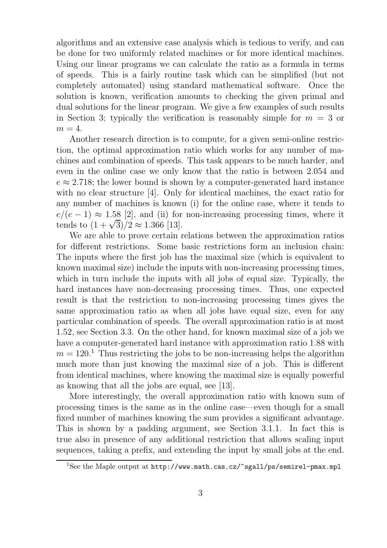algorithms and an extensive case analysis which is tedious to verify, and can be done for two uniformly related machines or for more identical machines. Using our linear programs we can calculate the ratio as a formula in terms of speeds. This is a fairly routine task which can be simplified (but not completely automated) using standard mathematical software. Once the solution is known, verification amounts to checking the given primal and dual solutions for the linear program. We give a few examples of such results in Section 3; typically the verification is reasonably simple for  $m = 3$  or  $m=4$ .

Another research direction is to compute, for a given semi-online restriction, the optimal approximation ratio which works for any number of machines and combination of speeds. This task appears to be much harder, and even in the online case we only know that the ratio is between 2.054 and  $e \approx 2.718$ ; the lower bound is shown by a computer-generated hard instance with no clear structure [4]. Only for identical machines, the exact ratio for any number of machines is known (i) for the online case, where it tends to  $e/(e-1) \approx 1.58$  [2], and (ii) for non-increasing processing times, where it tends to  $(1+\sqrt{3})/2 \approx 1.366$  [13].

We are able to prove certain relations between the approximation ratios for different restrictions. Some basic restrictions form an inclusion chain: The inputs where the first job has the maximal size (which is equivalent to known maximal size) include the inputs with non-increasing processing times, which in turn include the inputs with all jobs of equal size. Typically, the hard instances have non-decreasing processing times. Thus, one expected result is that the restriction to non-increasing processing times gives the same approximation ratio as when all jobs have equal size, even for any particular combination of speeds. The overall approximation ratio is at most 1.52, see Section 3.3. On the other hand, for known maximal size of a job we have a computer-generated hard instance with approximation ratio 1.88 with  $m = 120$ <sup>1</sup>. Thus restricting the jobs to be non-increasing helps the algorithm much more than just knowing the maximal size of a job. This is different from identical machines, where knowing the maximal size is equally powerful as knowing that all the jobs are equal, see [13].

More interestingly, the overall approximation ratio with known sum of processing times is the same as in the online case—even though for a small fixed number of machines knowing the sum provides a significant advantage. This is shown by a padding argument, see Section 3.1.1. In fact this is true also in presence of any additional restriction that allows scaling input sequences, taking a prefix, and extending the input by small jobs at the end.

<sup>&</sup>lt;sup>1</sup>See the Maple output at http://www.math.cas.cz/~sgall/ps/semirel-pmax.mpl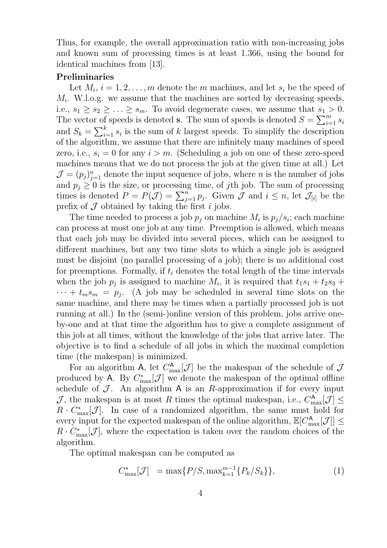Thus, for example, the overall approximation ratio with non-increasing jobs and known sum of processing times is at least 1.366, using the bound for identical machines from [13].

#### Preliminaries

Let  $M_i$ ,  $i = 1, 2, \ldots, m$  denote the m machines, and let  $s_i$  be the speed of  $M_i$ . W.l.o.g. we assume that the machines are sorted by decreasing speeds, i.e.,  $s_1 \geq s_2 \geq \ldots \geq s_m$ . To avoid degenerate cases, we assume that  $s_1 > 0$ . The vector of speeds is denoted **s**. The sum of speeds is denoted  $S = \sum_{i=1}^{m} s_i$ and  $S_k = \sum_{i=1}^k s_i$  is the sum of k largest speeds. To simplify the description of the algorithm, we assume that there are infinitely many machines of speed zero, i.e.,  $s_i = 0$  for any  $i > m$ . (Scheduling a job on one of these zero-speed machines means that we do not process the job at the given time at all.) Let  $\mathcal{J} = (p_j)_{j=1}^n$  denote the input sequence of jobs, where *n* is the number of jobs and  $p_j \geq 0$  is the size, or processing time, of jth job. The sum of processing times is denoted  $P = P(\mathcal{J}) = \sum_{j=1}^{n} p_j$ . Given  $\mathcal{J}$  and  $i \leq n$ , let  $\mathcal{J}_{[i]}$  be the prefix of  $\mathcal J$  obtained by taking the first i jobs.

The time needed to process a job  $p_j$  on machine  $M_i$  is  $p_j/s_i$ ; each machine can process at most one job at any time. Preemption is allowed, which means that each job may be divided into several pieces, which can be assigned to different machines, but any two time slots to which a single job is assigned must be disjoint (no parallel processing of a job); there is no additional cost for preemptions. Formally, if  $t_i$  denotes the total length of the time intervals when the job  $p_j$  is assigned to machine  $M_i$ , it is required that  $t_1s_1 + t_2s_3 +$  $\cdots + t_m s_m = p_j$ . (A job may be scheduled in several time slots on the same machine, and there may be times when a partially processed job is not running at all.) In the (semi-)online version of this problem, jobs arrive oneby-one and at that time the algorithm has to give a complete assignment of this job at all times, without the knowledge of the jobs that arrive later. The objective is to find a schedule of all jobs in which the maximal completion time (the makespan) is minimized.

For an algorithm A, let  $C_{\text{max}}^{\mathsf{A}}[\mathcal{J}]$  be the makespan of the schedule of  $\mathcal{J}$ produced by A. By  $C_{\text{max}}^*[\mathcal{J}]$  we denote the makespan of the optimal offline schedule of  $\mathcal J$ . An algorithm A is an R-approximation if for every input J, the makespan is at most R times the optimal makespan, i.e.,  $C_{\text{max}}^{\mathbf{A}}[\mathcal{J}] \leq$  $R \cdot C_{\text{max}}^*[\mathcal{J}]$ . In case of a randomized algorithm, the same must hold for every input for the expected makespan of the online algorithm,  $\mathbb{E}[C_{\text{max}}^{\mathsf{A}}[\mathcal{J}]] \leq$  $R \cdot C_{\text{max}}^*[\mathcal{J}]$ , where the expectation is taken over the random choices of the algorithm.

The optimal makespan can be computed as

$$
C_{\max}^*[{\mathcal{J}}] = \max\{P/S, \max_{k=1}^{m-1}\{P_k/S_k\}\},\tag{1}
$$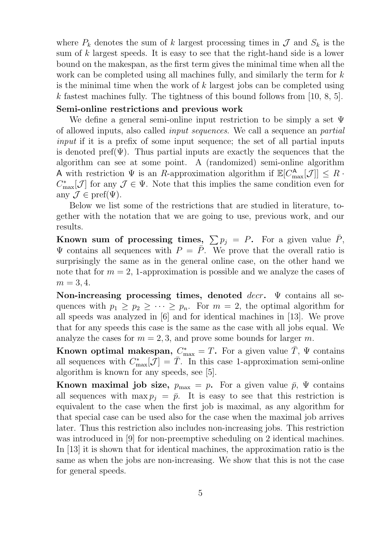where  $P_k$  denotes the sum of k largest processing times in  $\mathcal J$  and  $S_k$  is the sum of k largest speeds. It is easy to see that the right-hand side is a lower bound on the makespan, as the first term gives the minimal time when all the work can be completed using all machines fully, and similarly the term for k is the minimal time when the work of  $k$  largest jobs can be completed using k fastest machines fully. The tightness of this bound follows from [10, 8, 5].

#### Semi-online restrictions and previous work

We define a general semi-online input restriction to be simply a set  $\Psi$ of allowed inputs, also called input sequences. We call a sequence an partial input if it is a prefix of some input sequence; the set of all partial inputs is denoted pref( $\Psi$ ). Thus partial inputs are exactly the sequences that the algorithm can see at some point. A (randomized) semi-online algorithm A with restriction  $\Psi$  is an R-approximation algorithm if  $\mathbb{E}[C_{\text{max}}^{\mathsf{A}}[\mathcal{J}]] \leq R$ .  $C_{\text{max}}^*[\mathcal{J}]$  for any  $\mathcal{J} \in \Psi$ . Note that this implies the same condition even for any  $\mathcal{J} \in \text{pref}(\Psi)$ .

Below we list some of the restrictions that are studied in literature, together with the notation that we are going to use, previous work, and our results.

Known sum of processing times,  $\sum p_i = P$ . For a given value  $\bar{P}$ ,  $\Psi$  contains all sequences with  $P = \overline{P}$ . We prove that the overall ratio is surprisingly the same as in the general online case, on the other hand we note that for  $m = 2$ , 1-approximation is possible and we analyze the cases of  $m = 3, 4.$ 

Non-increasing processing times, denoted  $decr$ .  $\Psi$  contains all sequences with  $p_1 \geq p_2 \geq \cdots \geq p_n$ . For  $m = 2$ , the optimal algorithm for all speeds was analyzed in [6] and for identical machines in [13]. We prove that for any speeds this case is the same as the case with all jobs equal. We analyze the cases for  $m = 2, 3$ , and prove some bounds for larger m.

Known optimal makespan,  $C_{\text{max}}^* = T$ . For a given value  $\bar{T}$ ,  $\Psi$  contains all sequences with  $C_{\text{max}}^*[\mathcal{J}] = \overline{T}$ . In this case 1-approximation semi-online algorithm is known for any speeds, see [5].

**Known maximal job size,**  $p_{\text{max}} = p$ . For a given value  $\bar{p}$ ,  $\Psi$  contains all sequences with  $\max p_j = \bar{p}$ . It is easy to see that this restriction is equivalent to the case when the first job is maximal, as any algorithm for that special case can be used also for the case when the maximal job arrives later. Thus this restriction also includes non-increasing jobs. This restriction was introduced in [9] for non-preemptive scheduling on 2 identical machines. In [13] it is shown that for identical machines, the approximation ratio is the same as when the jobs are non-increasing. We show that this is not the case for general speeds.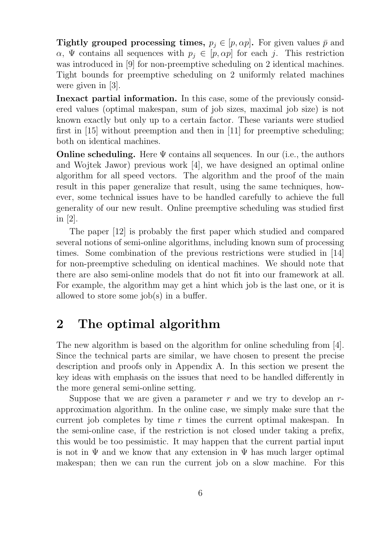Tightly grouped processing times,  $p_j \in [p, \alpha p]$ . For given values  $\bar{p}$  and  $\alpha$ ,  $\Psi$  contains all sequences with  $p_i \in [p, \alpha p]$  for each j. This restriction was introduced in [9] for non-preemptive scheduling on 2 identical machines. Tight bounds for preemptive scheduling on 2 uniformly related machines were given in [3].

Inexact partial information. In this case, some of the previously considered values (optimal makespan, sum of job sizes, maximal job size) is not known exactly but only up to a certain factor. These variants were studied first in [15] without preemption and then in [11] for preemptive scheduling; both on identical machines.

**Online scheduling.** Here  $\Psi$  contains all sequences. In our (i.e., the authors and Wojtek Jawor) previous work [4], we have designed an optimal online algorithm for all speed vectors. The algorithm and the proof of the main result in this paper generalize that result, using the same techniques, however, some technical issues have to be handled carefully to achieve the full generality of our new result. Online preemptive scheduling was studied first in [2].

The paper [12] is probably the first paper which studied and compared several notions of semi-online algorithms, including known sum of processing times. Some combination of the previous restrictions were studied in [14] for non-preemptive scheduling on identical machines. We should note that there are also semi-online models that do not fit into our framework at all. For example, the algorithm may get a hint which job is the last one, or it is allowed to store some job(s) in a buffer.

## 2 The optimal algorithm

The new algorithm is based on the algorithm for online scheduling from [4]. Since the technical parts are similar, we have chosen to present the precise description and proofs only in Appendix A. In this section we present the key ideas with emphasis on the issues that need to be handled differently in the more general semi-online setting.

Suppose that we are given a parameter  $r$  and we try to develop an  $r$ approximation algorithm. In the online case, we simply make sure that the current job completes by time r times the current optimal makespan. In the semi-online case, if the restriction is not closed under taking a prefix, this would be too pessimistic. It may happen that the current partial input is not in  $\Psi$  and we know that any extension in  $\Psi$  has much larger optimal makespan; then we can run the current job on a slow machine. For this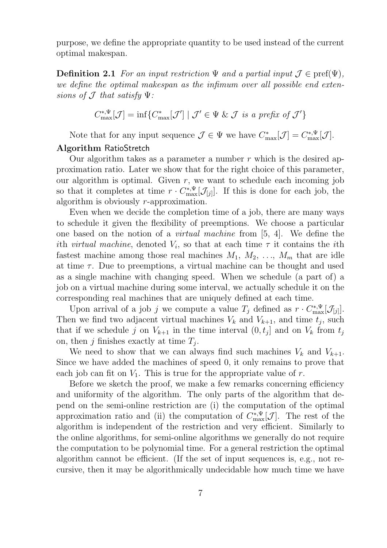purpose, we define the appropriate quantity to be used instead of the current optimal makespan.

**Definition 2.1** For an input restriction  $\Psi$  and a partial input  $\mathcal{J} \in \text{pref}(\Psi)$ , we define the optimal makespan as the infimum over all possible end extensions of  $J$  that satisfy  $\Psi$ :

$$
C_{\max}^{*,\Psi}[\mathcal{J}] = \inf \{ C_{\max}^*[\mathcal{J}'] \mid \mathcal{J}' \in \Psi \& \mathcal{J} \text{ is a prefix of } \mathcal{J}' \}
$$

Note that for any input sequence  $\mathcal{J} \in \Psi$  we have  $C_{\text{max}}^*[\mathcal{J}] = C_{\text{max}}^{*,\Psi}[\mathcal{J}].$ 

### Algorithm RatioStretch

Our algorithm takes as a parameter a number  $r$  which is the desired approximation ratio. Later we show that for the right choice of this parameter, our algorithm is optimal. Given  $r$ , we want to schedule each incoming job so that it completes at time  $r \cdot C_{\text{max}}^{*,\Psi}[\mathcal{J}_{[j]}].$  If this is done for each job, the algorithm is obviously r-approximation.

Even when we decide the completion time of a job, there are many ways to schedule it given the flexibility of preemptions. We choose a particular one based on the notion of a virtual machine from [5, 4]. We define the ith *virtual machine*, denoted  $V_i$ , so that at each time  $\tau$  it contains the *i*th fastest machine among those real machines  $M_1, M_2, \ldots, M_m$  that are idle at time  $\tau$ . Due to preemptions, a virtual machine can be thought and used as a single machine with changing speed. When we schedule (a part of) a job on a virtual machine during some interval, we actually schedule it on the corresponding real machines that are uniquely defined at each time.

Upon arrival of a job j we compute a value  $T_j$  defined as  $r \cdot C_{\max}^{*,\Psi}[\mathcal{J}_{[j]}].$ Then we find two adjacent virtual machines  $V_k$  and  $V_{k+1}$ , and time  $t_j$ , such that if we schedule j on  $V_{k+1}$  in the time interval  $(0, t_j]$  and on  $V_k$  from  $t_j$ on, then  $j$  finishes exactly at time  $T_j$ .

We need to show that we can always find such machines  $V_k$  and  $V_{k+1}$ . Since we have added the machines of speed 0, it only remains to prove that each job can fit on  $V_1$ . This is true for the appropriate value of r.

Before we sketch the proof, we make a few remarks concerning efficiency and uniformity of the algorithm. The only parts of the algorithm that depend on the semi-online restriction are (i) the computation of the optimal approximation ratio and (ii) the computation of  $C_{\text{max}}^{*,\Psi}[\mathcal{J}]$ . The rest of the algorithm is independent of the restriction and very efficient. Similarly to the online algorithms, for semi-online algorithms we generally do not require the computation to be polynomial time. For a general restriction the optimal algorithm cannot be efficient. (If the set of input sequences is, e.g., not recursive, then it may be algorithmically undecidable how much time we have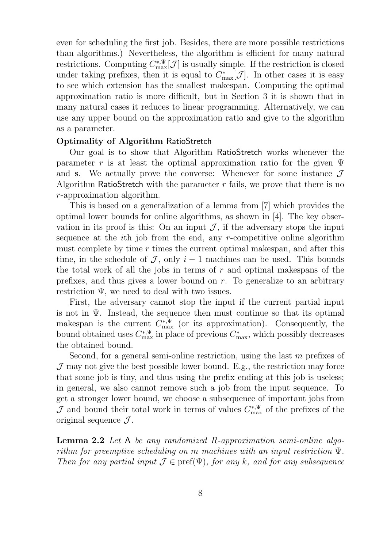even for scheduling the first job. Besides, there are more possible restrictions than algorithms.) Nevertheless, the algorithm is efficient for many natural restrictions. Computing  $C_{\text{max}}^{*,\Psi}[\mathcal{J}]$  is usually simple. If the restriction is closed under taking prefixes, then it is equal to  $C_{\text{max}}^*[\mathcal{J}]$ . In other cases it is easy to see which extension has the smallest makespan. Computing the optimal approximation ratio is more difficult, but in Section 3 it is shown that in many natural cases it reduces to linear programming. Alternatively, we can use any upper bound on the approximation ratio and give to the algorithm as a parameter.

### Optimality of Algorithm RatioStretch

Our goal is to show that Algorithm RatioStretch works whenever the parameter r is at least the optimal approximation ratio for the given  $\Psi$ and s. We actually prove the converse: Whenever for some instance  $\mathcal J$ Algorithm RatioStretch with the parameter  $r$  fails, we prove that there is no r-approximation algorithm.

This is based on a generalization of a lemma from [7] which provides the optimal lower bounds for online algorithms, as shown in [4]. The key observation in its proof is this: On an input  $\mathcal{J}$ , if the adversary stops the input sequence at the ith job from the end, any r-competitive online algorithm must complete by time  $r$  times the current optimal makespan, and after this time, in the schedule of  $\mathcal J$ , only  $i-1$  machines can be used. This bounds the total work of all the jobs in terms of  $r$  and optimal makespans of the prefixes, and thus gives a lower bound on  $r$ . To generalize to an arbitrary restriction  $\Psi$ , we need to deal with two issues.

First, the adversary cannot stop the input if the current partial input is not in  $\Psi$ . Instead, the sequence then must continue so that its optimal makespan is the current  $C_{\text{max}}^{*,\Psi}$  (or its approximation). Consequently, the bound obtained uses  $C_{\text{max}}^{*,\Psi}$  in place of previous  $C_{\text{max}}^*$ , which possibly decreases the obtained bound.

Second, for a general semi-online restriction, using the last m prefixes of  $J$  may not give the best possible lower bound. E.g., the restriction may force that some job is tiny, and thus using the prefix ending at this job is useless; in general, we also cannot remove such a job from the input sequence. To get a stronger lower bound, we choose a subsequence of important jobs from J and bound their total work in terms of values  $C_{\text{max}}^{*,\Psi}$  of the prefixes of the original sequence  $\mathcal{J}$ .

Lemma 2.2 Let A be any randomized R-approximation semi-online algorithm for preemptive scheduling on m machines with an input restriction Ψ. Then for any partial input  $\mathcal{J} \in \text{pref}(\Psi)$ , for any k, and for any subsequence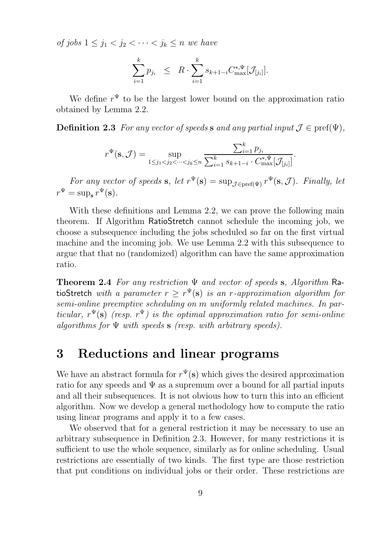of jobs  $1 \leq j_1 < j_2 < \cdots < j_k \leq n$  we have

$$
\sum_{i=1}^{k} p_{j_i} \leq R \cdot \sum_{i=1}^{k} s_{k+1-i} C_{\max}^{*,\Psi} [\mathcal{J}_{[j_i]}].
$$

We define  $r^{\Psi}$  to be the largest lower bound on the approximation ratio obtained by Lemma 2.2.

**Definition 2.3** For any vector of speeds s and any partial input  $\mathcal{J} \in \text{pref}(\Psi)$ ,

$$
r^{\Psi}(\mathbf{s}, \mathcal{J}) = \sup_{1 \le j_1 < j_2 < \dots < j_k \le n} \frac{\sum_{i=1}^k p_{j_i}}{\sum_{i=1}^k s_{k+1-i} \cdot C_{\max}^{*,\Psi}[\mathcal{J}_{[j_i]}]}.
$$

For any vector of speeds **s**, let  $r^{\Psi}(\mathbf{s}) = \sup_{\mathcal{J} \in \text{pref}(\Psi)} r^{\Psi}(\mathbf{s}, \mathcal{J})$ . Finally, let  $r^{\Psi} = \sup_{\mathbf{s}} r^{\Psi}(\mathbf{s}).$ 

With these definitions and Lemma 2.2, we can prove the following main theorem. If Algorithm RatioStretch cannot schedule the incoming job, we choose a subsequence including the jobs scheduled so far on the first virtual machine and the incoming job. We use Lemma 2.2 with this subsequence to argue that that no (randomized) algorithm can have the same approximation ratio.

**Theorem 2.4** For any restriction  $\Psi$  and vector of speeds s, Algorithm RatioStretch with a parameter  $r \geq r^{\Psi}(\mathbf{s})$  is an r-approximation algorithm for semi-online preemptive scheduling on m uniformly related machines. In particular,  $r^{\Psi}(\mathbf{s})$  (resp.  $r^{\Psi}$ ) is the optimal approximation ratio for semi-online algorithms for  $\Psi$  with speeds  $s$  (resp. with arbitrary speeds).

## 3 Reductions and linear programs

We have an abstract formula for  $r^{\Psi}(\mathbf{s})$  which gives the desired approximation ratio for any speeds and  $\Psi$  as a supremum over a bound for all partial inputs and all their subsequences. It is not obvious how to turn this into an efficient algorithm. Now we develop a general methodology how to compute the ratio using linear programs and apply it to a few cases.

We observed that for a general restriction it may be necessary to use an arbitrary subsequence in Definition 2.3. However, for many restrictions it is sufficient to use the whole sequence, similarly as for online scheduling. Usual restrictions are essentially of two kinds. The first type are those restriction that put conditions on individual jobs or their order. These restrictions are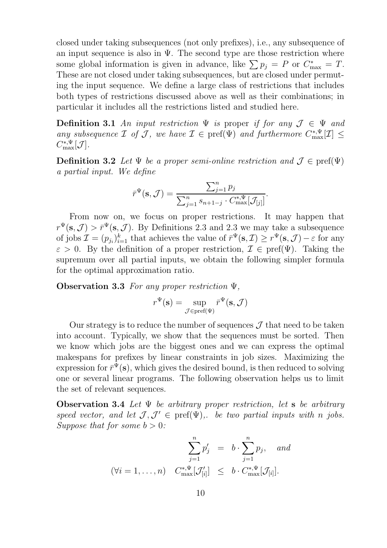closed under taking subsequences (not only prefixes), i.e., any subsequence of an input sequence is also in  $\Psi$ . The second type are those restriction where some global information is given in advance, like  $\sum p_j = P$  or  $C^*_{\text{max}} = T$ . These are not closed under taking subsequences, but are closed under permuting the input sequence. We define a large class of restrictions that includes both types of restrictions discussed above as well as their combinations; in particular it includes all the restrictions listed and studied here.

**Definition 3.1** An input restriction  $\Psi$  is proper if for any  $\mathcal{J} \in \Psi$  and any subsequence  $\mathcal I$  of  $\mathcal J$ , we have  $\mathcal I \in \text{pref}(\Psi)$  and furthermore  $C^{*,\Psi}_{\text{max}}[\mathcal I] \leq$  $C_{\text{max}}^{*,\Psi}[\mathcal{J}].$ 

**Definition 3.2** Let  $\Psi$  be a proper semi-online restriction and  $\mathcal{J} \in \text{pref}(\Psi)$ a partial input. We define

$$
\bar{r}^{\Psi}(\mathbf{s}, \mathcal{J}) = \frac{\sum_{j=1}^{n} p_j}{\sum_{j=1}^{n} s_{n+1-j} \cdot C_{\max}^{*,\Psi}[\mathcal{J}_{[j]}]}.
$$

From now on, we focus on proper restrictions. It may happen that  $r^{\Psi}(\mathbf{s}, \mathcal{J}) > \bar{r}^{\Psi}(\mathbf{s}, \mathcal{J})$ . By Definitions 2.3 and 2.3 we may take a subsequence of jobs  $\mathcal{I} = (p_{j_i})_{i=1}^k$  that achieves the value of  $\bar{r}^{\Psi}(\mathbf{s}, \mathcal{I}) \geq r^{\Psi}(\mathbf{s}, \mathcal{J}) - \varepsilon$  for any  $\varepsilon > 0$ . By the definition of a proper restriction,  $\mathcal{I} \in \text{pref}(\Psi)$ . Taking the supremum over all partial inputs, we obtain the following simpler formula for the optimal approximation ratio.

**Observation 3.3** For any proper restriction  $\Psi$ .

$$
r^{\Psi}(\mathbf{s}) = \sup_{\mathcal{J} \in \text{pref}(\Psi)} \bar{r}^{\Psi}(\mathbf{s}, \mathcal{J})
$$

Our strategy is to reduce the number of sequences  $\mathcal J$  that need to be taken into account. Typically, we show that the sequences must be sorted. Then we know which jobs are the biggest ones and we can express the optimal makespans for prefixes by linear constraints in job sizes. Maximizing the expression for  $\bar{r}^{\Psi}(\mathbf{s})$ , which gives the desired bound, is then reduced to solving one or several linear programs. The following observation helps us to limit the set of relevant sequences.

**Observation 3.4** Let  $\Psi$  be arbitrary proper restriction, let **s** be arbitrary speed vector, and let  $\mathcal{J}, \mathcal{J}' \in \text{pref}(\Psi)$ ,. be two partial inputs with n jobs. Suppose that for some  $b > 0$ :

$$
\sum_{j=1}^{n} p'_j = b \cdot \sum_{j=1}^{n} p_j, \text{ and}
$$
  

$$
(\forall i = 1, ..., n) \quad C_{\text{max}}^{*,\Psi}[\mathcal{J}'_{[i]}] \leq b \cdot C_{\text{max}}^{*,\Psi}[\mathcal{J}_{[i]}].
$$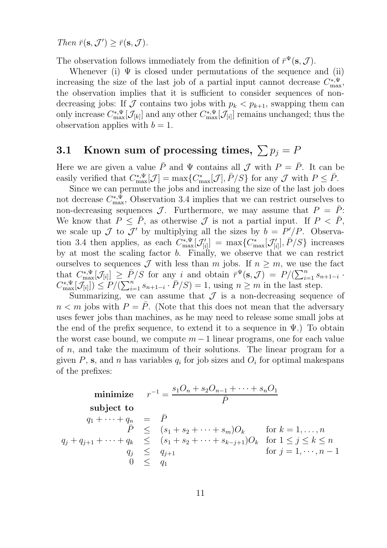Then  $\bar{r}(\mathbf{s}, \mathcal{J}') \geq \bar{r}(\mathbf{s}, \mathcal{J}).$ 

The observation follows immediately from the definition of  $\bar{r}^{\Psi}(\mathbf{s}, \mathcal{J})$ .

Whenever (i)  $\Psi$  is closed under permutations of the sequence and (ii) increasing the size of the last job of a partial input cannot decrease  $C_{\text{max}}^{*,\Psi}$ , the observation implies that it is sufficient to consider sequences of nondecreasing jobs: If  $\mathcal J$  contains two jobs with  $p_k < p_{k+1}$ , swapping them can only increase  $C_{\max}^{*,\Psi}[\mathcal{J}_{[k]}]$  and any other  $C_{\max}^{*,\Psi}[\mathcal{J}_{[i]}]$  remains unchanged; thus the observation applies with  $b = 1$ .

## 3.1 Known sum of processing times,  $\sum p_j = P$

Here we are given a value  $\bar{P}$  and  $\Psi$  contains all  $\mathcal J$  with  $P = \bar{P}$ . It can be easily verified that  $C_{\text{max}}^{*,\Psi}[\mathcal{J}] = \max\{C_{\text{max}}^*[\mathcal{J}], \bar{P}/S\}$  for any  $\mathcal{J}$  with  $P \leq \bar{P}$ .

Since we can permute the jobs and increasing the size of the last job does not decrease  $C_{\text{max}}^{*,\Psi}$ , Observation 3.4 implies that we can restrict ourselves to non-decreasing sequences  $\mathcal{J}$ . Furthermore, we may assume that  $P = \overline{P}$ : We know that  $P \leq \overline{P}$ , as otherwise  $\mathcal J$  is not a partial input. If  $P < \overline{P}$ , we scale up  $\mathcal J$  to  $\mathcal J'$  by multiplying all the sizes by  $b = P'/P$ . Observation 3.4 then applies, as each  $C_{\text{max}}^{*,\Psi}[\mathcal{J}'_{[i]}] = \max\{C_{\text{max}}^*[\mathcal{J}'_{[i]}], \bar{P}/S\}$  increases by at most the scaling factor b. Finally, we observe that we can restrict ourselves to sequences  $\mathcal J$  with less than m jobs. If  $n \geq m$ , we use the fact that  $C_{\max}^{*,\Psi}[\mathcal{J}_{[i]}] \geq \bar{P}/S$  for any i and obtain  $\bar{r}^{\Psi}(\mathbf{s}, \mathcal{J}) = P/(\sum_{i=1}^n s_{n+1-i}$ .  $C_{\max}^{*,\Psi}[\mathcal{J}_{[i]}]) \leq P/(\sum_{i=1}^n s_{n+1-i} \cdot \bar{P}/S) = 1$ , using  $n \geq m$  in the last step.

Summarizing, we can assume that  $\mathcal J$  is a non-decreasing sequence of  $n < m$  jobs with  $P = \overline{P}$ . (Note that this does not mean that the adversary uses fewer jobs than machines, as he may need to release some small jobs at the end of the prefix sequence, to extend it to a sequence in  $\Psi$ .) To obtain the worst case bound, we compute  $m-1$  linear programs, one for each value of n, and take the maximum of their solutions. The linear program for a given  $P$ , s, and n has variables  $q_i$  for job sizes and  $O_i$  for optimal makespans of the prefixes:

$$
\begin{array}{ll}\n\text{minimize} & r^{-1} = \frac{s_1 O_n + s_2 O_{n-1} + \dots + s_n O_1}{\bar{P}} \\
\text{subject to} \\
q_1 + \dots + q_n & = \bar{P} \\
\bar{P} & \leq (s_1 + s_2 + \dots + s_m) O_k \\
q_j + q_{j+1} + \dots + q_k & \leq (s_1 + s_2 + \dots + s_{k-j+1}) O_k \quad \text{for } 1 \leq j \leq k \leq n \\
q_j & \leq q_{j+1} \quad \text{for } j = 1, \dots, n-1 \\
0 & \leq q_1\n\end{array}
$$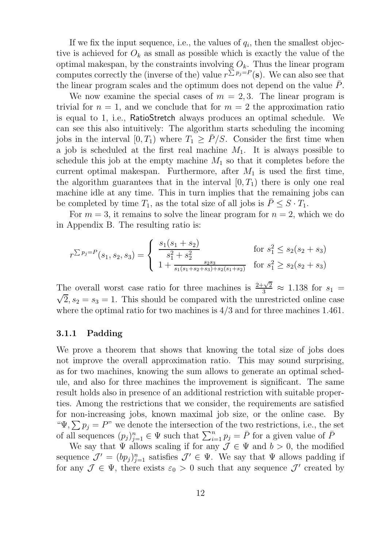If we fix the input sequence, i.e., the values of  $q_i$ , then the smallest objective is achieved for  $O_k$  as small as possible which is exactly the value of the optimal makespan, by the constraints involving  $O_k$ . Thus the linear program computes correctly the (inverse of the) value  $r^{\sum p_j = P}(\mathbf{s})$ . We can also see that the linear program scales and the optimum does not depend on the value  $P$ .

We now examine the special cases of  $m = 2, 3$ . The linear program is trivial for  $n = 1$ , and we conclude that for  $m = 2$  the approximation ratio is equal to 1, i.e., RatioStretch always produces an optimal schedule. We can see this also intuitively: The algorithm starts scheduling the incoming jobs in the interval  $[0, T_1)$  where  $T_1 > \bar{P}/S$ . Consider the first time when a job is scheduled at the first real machine  $M_1$ . It is always possible to schedule this job at the empty machine  $M_1$  so that it completes before the current optimal makespan. Furthermore, after  $M_1$  is used the first time, the algorithm guarantees that in the interval  $[0, T_1)$  there is only one real machine idle at any time. This in turn implies that the remaining jobs can be completed by time  $T_1$ , as the total size of all jobs is  $\bar{P} \leq S \cdot T_1$ .

For  $m = 3$ , it remains to solve the linear program for  $n = 2$ , which we do in Appendix B. The resulting ratio is:

$$
r^{\sum p_j = P}(s_1, s_2, s_3) = \begin{cases} \frac{s_1(s_1 + s_2)}{s_1^2 + s_2^2} & \text{for } s_1^2 \le s_2(s_2 + s_3) \\ 1 + \frac{s_2 s_3}{s_1(s_1 + s_2 + s_3) + s_2(s_1 + s_2)} & \text{for } s_1^2 \ge s_2(s_2 + s_3) \end{cases}
$$

The overall worst case ratio for three machines is  $\frac{2+\sqrt{2}}{3} \approx 1.138$  for  $s_1 = \sqrt{2}$   $s_1 = s_2 = 1$ . This should be compared with the uncertricted online associated  $\sqrt{2}$ ,  $s_2 = s_3 = 1$ . This should be compared with the unrestricted online case where the optimal ratio for two machines is 4/3 and for three machines 1.461.

#### 3.1.1 Padding

We prove a theorem that shows that knowing the total size of jobs does not improve the overall approximation ratio. This may sound surprising, as for two machines, knowing the sum allows to generate an optimal schedule, and also for three machines the improvement is significant. The same result holds also in presence of an additional restriction with suitable properties. Among the restrictions that we consider, the requirements are satisfied for non-increasing jobs, known maximal job size, or the online case. By " $\Psi$ ,  $\sum p_j = P$ " we denote the intersection of the two restrictions, i.e., the set of all sequences  $(p_j)_{j=1}^n \in \Psi$  such that  $\sum_{i=1}^n p_j = \overline{P}$  for a given value of  $\overline{P}$ 

We say that  $\Psi$  allows scaling if for any  $\mathcal{J} \in \Psi$  and  $b > 0$ , the modified sequence  $\mathcal{J}' = (bp_j)_{j=1}^n$  satisfies  $\mathcal{J}' \in \Psi$ . We say that  $\Psi$  allows padding if for any  $\mathcal{J} \in \Psi$ , there exists  $\varepsilon_0 > 0$  such that any sequence  $\mathcal{J}'$  created by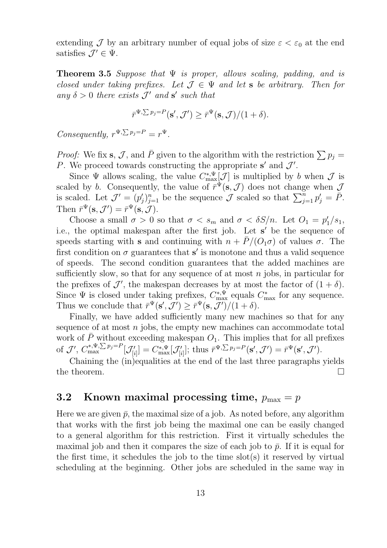extending J by an arbitrary number of equal jobs of size  $\varepsilon < \varepsilon_0$  at the end satisfies  $\mathcal{J}' \in \Psi$ .

**Theorem 3.5** Suppose that  $\Psi$  is proper, allows scaling, padding, and is closed under taking prefixes. Let  $\mathcal{J} \in \Psi$  and let **s** be arbitrary. Then for any  $\delta > 0$  there exists  $\mathcal{J}'$  and  $\mathbf{s}'$  such that

$$
\bar{r}^{\Psi,\sum p_j=P}(\mathbf{s}',\mathcal{J}')\geq \bar{r}^{\Psi}(\mathbf{s},\mathcal{J})/(1+\delta).
$$

Consequently,  $r^{\Psi,\sum p_j=P}=r^{\Psi}$ .

*Proof:* We fix s, J, and  $\overline{P}$  given to the algorithm with the restriction  $\sum p_j =$ P. We proceed towards constructing the appropriate  $s'$  and  $\mathcal{J}'$ .

Since  $\Psi$  allows scaling, the value  $C^{*,\Psi}_{\max}[\mathcal{J}]$  is multiplied by b when  $\mathcal J$  is scaled by b. Consequently, the value of  $\bar{r}^{\Psi}(\mathbf{s}, \mathcal{J})$  does not change when  $\mathcal{J}$ is scaled. Let  $\mathcal{J}' = (p'_j)_{j=1}^n$  be the sequence  $\mathcal J$  scaled so that  $\sum_{j=1}^n p'_j = \bar P$ . Then  $\bar{r}^{\Psi}(\mathbf{s}, \mathcal{J}') = \bar{r}^{\Psi}(\mathbf{s}, \mathcal{J}).$ 

Choose a small  $\sigma > 0$  so that  $\sigma < s_m$  and  $\sigma < \delta S/n$ . Let  $O_1 = p'_1/s_1$ , i.e., the optimal makespan after the first job. Let s' be the sequence of speeds starting with s and continuing with  $n + \bar{P}/(O_1\sigma)$  of values  $\sigma$ . The first condition on  $\sigma$  guarantees that s' is monotone and thus a valid sequence of speeds. The second condition guarantees that the added machines are sufficiently slow, so that for any sequence of at most  $n$  jobs, in particular for the prefixes of  $\mathcal{J}'$ , the makespan decreases by at most the factor of  $(1 + \delta)$ . Since  $\Psi$  is closed under taking prefixes,  $C_{\text{max}}^{*,\Psi}$  equals  $C_{\text{max}}^*$  for any sequence. Thus we conclude that  $\bar{r}^{\Psi}(\mathbf{s}', \mathcal{J}') \geq \bar{r}^{\Psi}(\mathbf{s}, \mathcal{J}')/(1+\delta).$ 

Finally, we have added sufficiently many new machines so that for any sequence of at most  $n$  jobs, the empty new machines can accommodate total work of  $\bar{P}$  without exceeding makespan  $O_1$ . This implies that for all prefixes of  $\mathcal{J}'$ ,  $C_{\max}^{*,\Psi,\sum p_j=P}[\mathcal{J}'_{[i]}]=C_{\max}^{*,\Psi}[\mathcal{J}'_{[i]}];$  thus  $\bar{r}^{\Psi,\sum p_j=P}(\mathbf{s}',\mathcal{J}')=\bar{r}^{\Psi}(\mathbf{s}',\mathcal{J}')$ .

Chaining the (in)equalities at the end of the last three paragraphs yields the theorem.  $\Box$ 

### 3.2 Known maximal processing time,  $p_{\text{max}} = p$

Here we are given  $\bar{p}$ , the maximal size of a job. As noted before, any algorithm that works with the first job being the maximal one can be easily changed to a general algorithm for this restriction. First it virtually schedules the maximal job and then it compares the size of each job to  $\bar{p}$ . If it is equal for the first time, it schedules the job to the time slot(s) it reserved by virtual scheduling at the beginning. Other jobs are scheduled in the same way in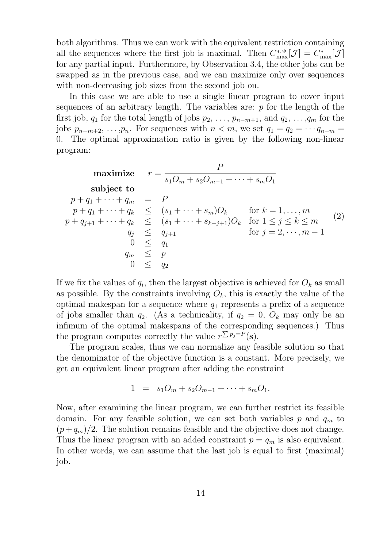both algorithms. Thus we can work with the equivalent restriction containing all the sequences where the first job is maximal. Then  $C_{\text{max}}^{*,\Psi}[\mathcal{J}] = C_{\text{max}}^{*}[\mathcal{J}]$ for any partial input. Furthermore, by Observation 3.4, the other jobs can be swapped as in the previous case, and we can maximize only over sequences with non-decreasing job sizes from the second job on.

In this case we are able to use a single linear program to cover input sequences of an arbitrary length. The variables are:  $p$  for the length of the first job,  $q_1$  for the total length of jobs  $p_2, \ldots, p_{n-m+1}$ , and  $q_2, \ldots, q_m$  for the jobs  $p_{n-m+2}, \ldots, p_n$ . For sequences with  $n < m$ , we set  $q_1 = q_2 = \cdots q_{n-m} =$ 0. The optimal approximation ratio is given by the following non-linear program:

$$
\begin{array}{ll}\n\text{maximize} & r = \frac{P}{s_1 O_m + s_2 O_{m-1} + \dots + s_m O_1} \\
\text{subject to} \\
p + q_1 + \dots + q_m & = P \\
p + q_1 + \dots + q_k & \leq (s_1 + \dots + s_m) O_k \\
p + q_{j+1} + \dots + q_k & \leq (s_1 + \dots + s_{k-j+1}) O_k \quad \text{for } 1 \leq j \leq k \leq m \\
q_j & \leq q_{j+1} \quad \text{for } j = 2, \dots, m-1 \\
0 & \leq q_1 \\
q_m & \leq p \\
0 & \leq q_2\n\end{array} \tag{2}
$$

If we fix the values of  $q_i$ , then the largest objective is achieved for  $O_k$  as small as possible. By the constraints involving  $O_k$ , this is exactly the value of the optimal makespan for a sequence where  $q_1$  represents a prefix of a sequence of jobs smaller than  $q_2$ . (As a technicality, if  $q_2 = 0$ ,  $O_k$  may only be an infimum of the optimal makespans of the corresponding sequences.) Thus the program computes correctly the value  $r^{\sum p_j = P}(\mathbf{s})$ .

The program scales, thus we can normalize any feasible solution so that the denominator of the objective function is a constant. More precisely, we get an equivalent linear program after adding the constraint

$$
1 = s_1 O_m + s_2 O_{m-1} + \cdots + s_m O_1.
$$

Now, after examining the linear program, we can further restrict its feasible domain. For any feasible solution, we can set both variables p and  $q_m$  to  $(p+q_m)/2$ . The solution remains feasible and the objective does not change. Thus the linear program with an added constraint  $p = q_m$  is also equivalent. In other words, we can assume that the last job is equal to first (maximal) job.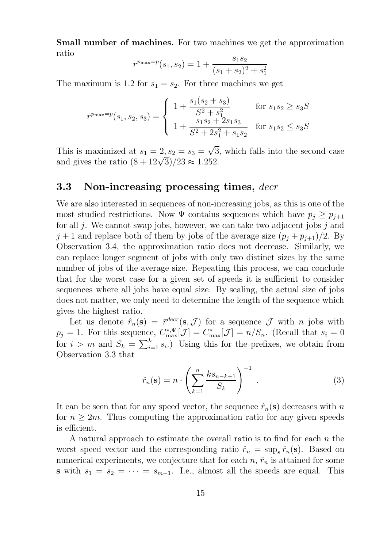Small number of machines. For two machines we get the approximation ratio

$$
r^{p_{\max}=p}(s_1, s_2) = 1 + \frac{s_1 s_2}{(s_1 + s_2)^2 + s_1^2}
$$

The maximum is 1.2 for  $s_1 = s_2$ . For three machines we get

$$
r^{p_{\max}=p}(s_1, s_2, s_3) = \begin{cases} 1 + \frac{s_1(s_2 + s_3)}{S^2 + s_1^2} & \text{for } s_1 s_2 \ge s_3 S\\ 1 + \frac{s_1 s_2 + 2s_1 s_3}{S^2 + 2s_1^2 + s_1 s_2} & \text{for } s_1 s_2 \le s_3 S \end{cases}
$$

This is maximized at  $s_1 = 2, s_2 = s_3 = \sqrt{3}$ , which falls into the second case and gives the ratio  $\left(\frac{8+12\sqrt{3}}{2}\right)/23 \approx 1.252$ .

### 3.3 Non-increasing processing times, decr

We are also interested in sequences of non-increasing jobs, as this is one of the most studied restrictions. Now  $\Psi$  contains sequences which have  $p_i \geq p_{i+1}$ for all  $j$ . We cannot swap jobs, however, we can take two adjacent jobs  $j$  and  $j+1$  and replace both of them by jobs of the average size  $(p_j + p_{j+1})/2$ . By Observation 3.4, the approximation ratio does not decrease. Similarly, we can replace longer segment of jobs with only two distinct sizes by the same number of jobs of the average size. Repeating this process, we can conclude that for the worst case for a given set of speeds it is sufficient to consider sequences where all jobs have equal size. By scaling, the actual size of jobs does not matter, we only need to determine the length of the sequence which gives the highest ratio.

Let us denote  $\hat{r}_n(\mathbf{s}) = \bar{r}^{dec}(\mathbf{s}, \mathcal{J})$  for a sequence  $\mathcal{J}$  with *n* jobs with  $p_j = 1$ . For this sequence,  $C^{*,\Psi}_{\max}[\mathcal{J}] = C^*_{\max}[\mathcal{J}] = n/S_n$ . (Recall that  $s_i = 0$ for  $i > m$  and  $S_k = \sum_{i=1}^k s_i$ . Using this for the prefixes, we obtain from Observation 3.3 that

$$
\hat{r}_n(\mathbf{s}) = n \cdot \left(\sum_{k=1}^n \frac{ks_{n-k+1}}{S_k}\right)^{-1} . \tag{3}
$$

It can be seen that for any speed vector, the sequence  $\hat{r}_n(s)$  decreases with n for  $n \geq 2m$ . Thus computing the approximation ratio for any given speeds is efficient.

A natural approach to estimate the overall ratio is to find for each  $n$  the worst speed vector and the corresponding ratio  $\hat{r}_n = \sup_{s} \hat{r}_n(s)$ . Based on numerical experiments, we conjecture that for each  $n, \hat{r}_n$  is attained for some s with  $s_1 = s_2 = \cdots = s_{m-1}$ . I.e., almost all the speeds are equal. This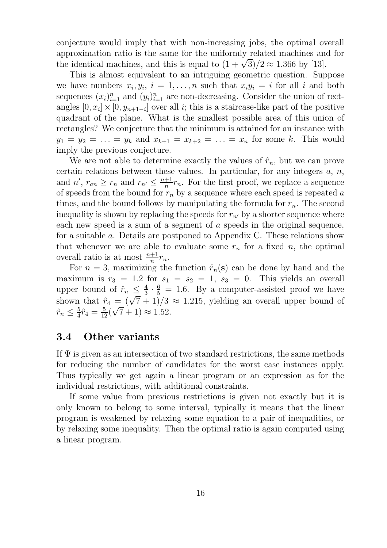conjecture would imply that with non-increasing jobs, the optimal overall approximation ratio is the same for the uniformly related machines and for the identical machines, and this is equal to  $(1 + \sqrt{3})/2 \approx 1.366$  by [13].

This is almost equivalent to an intriguing geometric question. Suppose we have numbers  $x_i, y_i, i = 1, ..., n$  such that  $x_i y_i = i$  for all i and both sequences  $(x_i)_{i=1}^n$  and  $(y_i)_{i=1}^n$  are non-decreasing. Consider the union of rectangles  $[0, x_i] \times [0, y_{n+1-i}]$  over all *i*; this is a staircase-like part of the positive quadrant of the plane. What is the smallest possible area of this union of rectangles? We conjecture that the minimum is attained for an instance with  $y_1 = y_2 = \ldots = y_k$  and  $x_{k+1} = x_{k+2} = \ldots = x_n$  for some k. This would imply the previous conjecture.

We are not able to determine exactly the values of  $\hat{r}_n$ , but we can prove certain relations between these values. In particular, for any integers  $a, n$ , and  $n'$ ,  $r_{an} \geq r_n$  and  $r_{n'} \leq \frac{n+1}{n}$  $\frac{+1}{n}r_n$ . For the first proof, we replace a sequence of speeds from the bound for  $r_n$  by a sequence where each speed is repeated a times, and the bound follows by manipulating the formula for  $r_n$ . The second inequality is shown by replacing the speeds for  $r_{n'}$  by a shorter sequence where each new speed is a sum of a segment of a speeds in the original sequence, for a suitable a. Details are postponed to Appendix C. These relations show that whenever we are able to evaluate some  $r_n$  for a fixed n, the optimal overall ratio is at most  $\frac{n+1}{n}r_n$ .

For  $n = 3$ , maximizing the function  $\hat{r}_n(\mathbf{s})$  can be done by hand and the maximum is  $r_3 = 1.2$  for  $s_1 = s_2 = 1$ ,  $s_3 = 0$ . This yields an overall upper bound of  $\hat{r}_n \leq \frac{4}{3}$  $\frac{4}{3} \cdot \frac{6}{5} = 1.6$ . By a computer-assisted proof we have shown that  $\hat{r}_4 = (\sqrt{7} + 1)/3 \approx 1.215$ , yielding an overall upper bound of  $\hat{r}_n \leq \frac{5}{4}$  $\frac{5}{4}\hat{r}_4 = \frac{5}{12}(\sqrt{7}+1) \approx 1.52.$ 

### 3.4 Other variants

If  $\Psi$  is given as an intersection of two standard restrictions, the same methods for reducing the number of candidates for the worst case instances apply. Thus typically we get again a linear program or an expression as for the individual restrictions, with additional constraints.

If some value from previous restrictions is given not exactly but it is only known to belong to some interval, typically it means that the linear program is weakened by relaxing some equation to a pair of inequalities, or by relaxing some inequality. Then the optimal ratio is again computed using a linear program.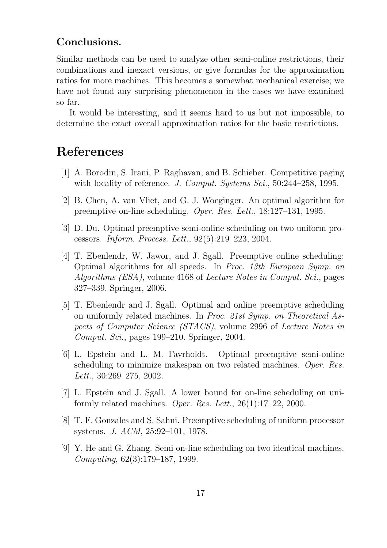### Conclusions.

Similar methods can be used to analyze other semi-online restrictions, their combinations and inexact versions, or give formulas for the approximation ratios for more machines. This becomes a somewhat mechanical exercise; we have not found any surprising phenomenon in the cases we have examined so far.

It would be interesting, and it seems hard to us but not impossible, to determine the exact overall approximation ratios for the basic restrictions.

## References

- [1] A. Borodin, S. Irani, P. Raghavan, and B. Schieber. Competitive paging with locality of reference. J. Comput. Systems Sci., 50:244–258, 1995.
- [2] B. Chen, A. van Vliet, and G. J. Woeginger. An optimal algorithm for preemptive on-line scheduling. Oper. Res. Lett., 18:127–131, 1995.
- [3] D. Du. Optimal preemptive semi-online scheduling on two uniform processors. Inform. Process. Lett., 92(5):219–223, 2004.
- [4] T. Ebenlendr, W. Jawor, and J. Sgall. Preemptive online scheduling: Optimal algorithms for all speeds. In Proc. 13th European Symp. on Algorithms (ESA), volume 4168 of Lecture Notes in Comput. Sci., pages 327–339. Springer, 2006.
- [5] T. Ebenlendr and J. Sgall. Optimal and online preemptive scheduling on uniformly related machines. In Proc. 21st Symp. on Theoretical Aspects of Computer Science (STACS), volume 2996 of Lecture Notes in Comput. Sci., pages 199–210. Springer, 2004.
- [6] L. Epstein and L. M. Favrholdt. Optimal preemptive semi-online scheduling to minimize makespan on two related machines. Oper. Res. Lett., 30:269–275, 2002.
- [7] L. Epstein and J. Sgall. A lower bound for on-line scheduling on uniformly related machines. Oper. Res. Lett.,  $26(1):17-22$ , 2000.
- [8] T. F. Gonzales and S. Sahni. Preemptive scheduling of uniform processor systems. J. ACM, 25:92–101, 1978.
- [9] Y. He and G. Zhang. Semi on-line scheduling on two identical machines. Computing, 62(3):179–187, 1999.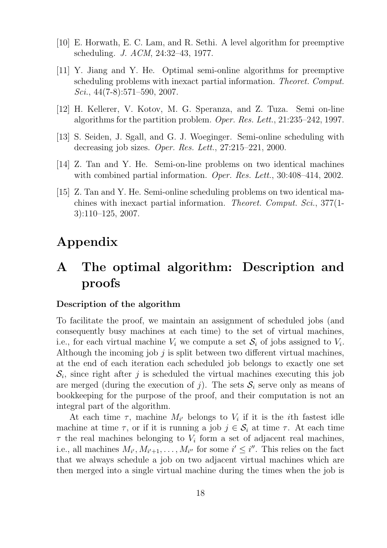- [10] E. Horwath, E. C. Lam, and R. Sethi. A level algorithm for preemptive scheduling. J. ACM, 24:32–43, 1977.
- [11] Y. Jiang and Y. He. Optimal semi-online algorithms for preemptive scheduling problems with inexact partial information. Theoret. Comput. Sci.,  $44(7-8):571-590$ , 2007.
- [12] H. Kellerer, V. Kotov, M. G. Speranza, and Z. Tuza. Semi on-line algorithms for the partition problem. Oper. Res. Lett., 21:235–242, 1997.
- [13] S. Seiden, J. Sgall, and G. J. Woeginger. Semi-online scheduling with decreasing job sizes. Oper. Res. Lett., 27:215–221, 2000.
- [14] Z. Tan and Y. He. Semi-on-line problems on two identical machines with combined partial information. Oper. Res. Lett., 30:408-414, 2002.
- [15] Z. Tan and Y. He. Semi-online scheduling problems on two identical machines with inexact partial information. Theoret. Comput. Sci., 377(1- 3):110–125, 2007.

## Appendix

## A The optimal algorithm: Description and proofs

### Description of the algorithm

To facilitate the proof, we maintain an assignment of scheduled jobs (and consequently busy machines at each time) to the set of virtual machines, i.e., for each virtual machine  $V_i$  we compute a set  $S_i$  of jobs assigned to  $V_i$ . Although the incoming job  $j$  is split between two different virtual machines, at the end of each iteration each scheduled job belongs to exactly one set  $S_i$ , since right after j is scheduled the virtual machines executing this job are merged (during the execution of j). The sets  $S_i$  serve only as means of bookkeeping for the purpose of the proof, and their computation is not an integral part of the algorithm.

At each time  $\tau$ , machine  $M_{i'}$  belongs to  $V_i$  if it is the *i*th fastest idle machine at time  $\tau$ , or if it is running a job  $j \in \mathcal{S}_i$  at time  $\tau$ . At each time  $\tau$  the real machines belonging to  $V_i$  form a set of adjacent real machines, i.e., all machines  $M_{i'}, M_{i'+1}, \ldots, M_{i''}$  for some  $i' \leq i''$ . This relies on the fact that we always schedule a job on two adjacent virtual machines which are then merged into a single virtual machine during the times when the job is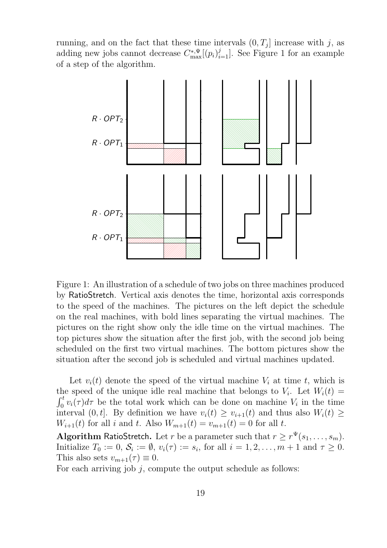running, and on the fact that these time intervals  $(0, T<sub>j</sub>]$  increase with j, as adding new jobs cannot decrease  $C_{\text{max}}^{*,\Psi}[(p_i)_{i=1}^j]$ . See Figure 1 for an example of a step of the algorithm.



Figure 1: An illustration of a schedule of two jobs on three machines produced by RatioStretch. Vertical axis denotes the time, horizontal axis corresponds to the speed of the machines. The pictures on the left depict the schedule on the real machines, with bold lines separating the virtual machines. The pictures on the right show only the idle time on the virtual machines. The top pictures show the situation after the first job, with the second job being scheduled on the first two virtual machines. The bottom pictures show the situation after the second job is scheduled and virtual machines updated.

Let  $v_i(t)$  denote the speed of the virtual machine  $V_i$  at time t, which is the speed of the unique idle real machine that belongs to  $V_i$ . Let  $W_i(t) =$  $\int_0^t v_i(\tau) d\tau$  be the total work which can be done on machine  $V_i$  in the time interval  $(0, t]$ . By definition we have  $v_i(t) \ge v_{i+1}(t)$  and thus also  $W_i(t) \ge$  $W_{i+1}(t)$  for all i and t. Also  $W_{m+1}(t) = v_{m+1}(t) = 0$  for all t.

Algorithm RatioStretch. Let r be a parameter such that  $r \geq r^{\Psi}(s_1, \ldots, s_m)$ . Initialize  $T_0 := 0$ ,  $\mathcal{S}_i := \emptyset$ ,  $v_i(\tau) := s_i$ , for all  $i = 1, 2, \ldots, m + 1$  and  $\tau \geq 0$ . This also sets  $v_{m+1}(\tau) \equiv 0$ .

For each arriving job  $j$ , compute the output schedule as follows: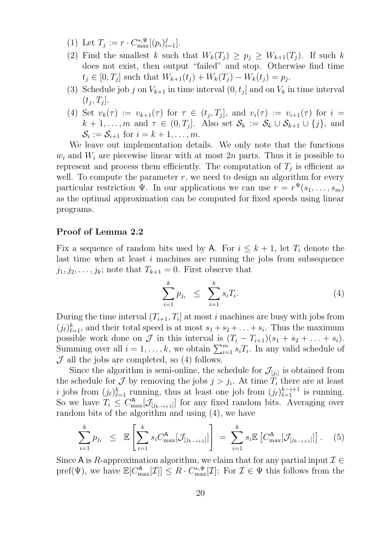- (1) Let  $T_j := r \cdot C_{\max}^{*,\Psi}[(p_i)_{i=1}^j]$ .
- (2) Find the smallest k such that  $W_k(T_j) \geq p_j \geq W_{k+1}(T_j)$ . If such k does not exist, then output "failed" and stop. Otherwise find time  $t_j \in [0, T_j]$  such that  $W_{k+1}(t_j) + W_k(T_j) - W_k(t_j) = p_j$ .
- (3) Schedule job j on  $V_{k+1}$  in time interval  $(0, t_j]$  and on  $V_k$  in time interval  $(t_j, T_j].$
- (4) Set  $v_k(\tau) := v_{k+1}(\tau)$  for  $\tau \in (t_j, T_j]$ , and  $v_i(\tau) := v_{i+1}(\tau)$  for  $i =$  $k+1,\ldots,m$  and  $\tau \in (0,T_j]$ . Also set  $\mathcal{S}_k := \mathcal{S}_k \cup \mathcal{S}_{k+1} \cup \{j\}$ , and  $\mathcal{S}_i := \mathcal{S}_{i+1}$  for  $i = k+1, \ldots, m$ .

We leave out implementation details. We only note that the functions  $w_i$  and  $W_i$  are piecewise linear with at most 2n parts. Thus it is possible to represent and process them efficiently. The computation of  $T_j$  is efficient as well. To compute the parameter  $r$ , we need to design an algorithm for every particular restriction  $\Psi$ . In our applications we can use  $r = r^{\Psi}(s_1, \ldots, s_m)$ as the optimal approximation can be computed for fixed speeds using linear programs.

### Proof of Lemma 2.2

Fix a sequence of random bits used by A. For  $i \leq k+1$ , let  $T_i$  denote the last time when at least  $i$  machines are running the jobs from subsequence  $j_1, j_2, \ldots, j_k$ ; note that  $T_{k+1} = 0$ . First observe that

$$
\sum_{i=1}^{k} p_{j_i} \leq \sum_{i=1}^{k} s_i T_i.
$$
 (4)

During the time interval  $(T_{i+1}, T_i]$  at most i machines are busy with jobs from  $(j_{\ell})_{\ell=1}^k$ , and their total speed is at most  $s_1 + s_2 + \ldots + s_i$ . Thus the maximum possible work done on  $\mathcal J$  in this interval is  $(T_i - T_{i+1})(s_1 + s_2 + \ldots + s_i)$ . Summing over all  $i = 1, ..., k$ , we obtain  $\sum_{i=1}^{m} s_i T_i$ . In any valid schedule of  $J$  all the jobs are completed, so (4) follows.

Since the algorithm is semi-online, the schedule for  $\mathcal{J}_{[j_i]}$  is obtained from the schedule for  $\mathcal J$  by removing the jobs  $j > j_i$ . At time  $T_i$  there are at least i jobs from  $(j_\ell)_{\ell=1}^k$  running, thus at least one job from  $(j_\ell)_{\ell=1}^{k-i+1}$  is running. So we have  $T_i \leq C_{\text{max}}^{\mathsf{A}}[\mathcal{J}_{[j_{k-i+1}]}]$  for any fixed random bits. Averaging over random bits of the algorithm and using (4), we have

$$
\sum_{i=1}^{k} p_{j_i} \leq \mathbb{E} \left[ \sum_{i=1}^{k} s_i C_{\text{max}}^{\mathsf{A}} [\mathcal{J}_{[j_{k-i+1}]}] \right] = \sum_{i=1}^{k} s_i \mathbb{E} \left[ C_{\text{max}}^{\mathsf{A}} [\mathcal{J}_{[j_{k-i+1}]}] \right]. \tag{5}
$$

Since A is R-approximation algorithm, we claim that for any partial input  $\mathcal{I} \in$ pref( $\Psi$ ), we have  $\mathbb{E}[C_{\max}^{\mathsf{A}}[\mathcal{I}]] \leq R \cdot C_{\max}^{*,\Psi}[\mathcal{I}]$ : For  $\mathcal{I} \in \Psi$  this follows from the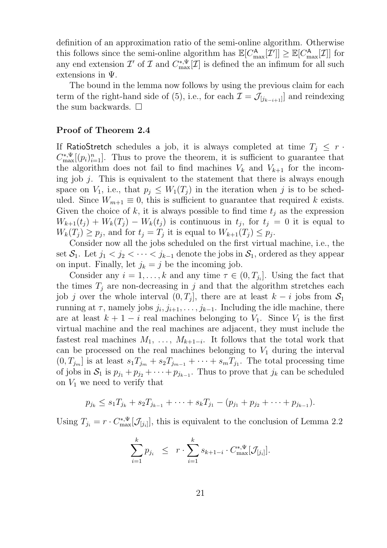definition of an approximation ratio of the semi-online algorithm. Otherwise this follows since the semi-online algorithm has  $\mathbb{E}[C_{\text{max}}^{\mathsf{A}}[\mathcal{I}]] \geq \mathbb{E}[C_{\text{max}}^{\mathsf{A}}[\mathcal{I}]]$  for any end extension  $\mathcal{I}'$  of  $\mathcal{I}$  and  $C^{*,\Psi}_{\max}[\mathcal{I}]$  is defined the an infimum for all such extensions in Ψ.

The bound in the lemma now follows by using the previous claim for each term of the right-hand side of (5), i.e., for each  $\mathcal{I} = \mathcal{J}_{[j_{k-i+1}]}$  and reindexing the sum backwards.  $\square$ 

### Proof of Theorem 2.4

If RatioStretch schedules a job, it is always completed at time  $T_j \leq r$ .  $C_{\text{max}}^{*,\Psi}[(p_i)_{i=1}^n]$ . Thus to prove the theorem, it is sufficient to guarantee that the algorithm does not fail to find machines  $V_k$  and  $V_{k+1}$  for the incoming job  $j$ . This is equivalent to the statement that there is always enough space on  $V_1$ , i.e., that  $p_i \leq W_1(T_i)$  in the iteration when j is to be scheduled. Since  $W_{m+1} \equiv 0$ , this is sufficient to guarantee that required k exists. Given the choice of k, it is always possible to find time  $t_i$  as the expression  $W_{k+1}(t_j) + W_k(T_j) - W_k(t_j)$  is continuous in  $t_j$ , for  $t_j = 0$  it is equal to  $W_k(T_j) \geq p_j$ , and for  $t_j = T_j$  it is equal to  $W_{k+1}(T_j) \leq p_j$ .

Consider now all the jobs scheduled on the first virtual machine, i.e., the set  $S_1$ . Let  $j_1 < j_2 < \cdots < j_{k-1}$  denote the jobs in  $S_1$ , ordered as they appear on input. Finally, let  $j_k = j$  be the incoming job.

Consider any  $i = 1, ..., k$  and any time  $\tau \in (0, T_{j_i}]$ . Using the fact that the times  $T_j$  are non-decreasing in j and that the algorithm stretches each job j over the whole interval  $(0, T<sub>j</sub>]$ , there are at least  $k - i$  jobs from  $S<sub>1</sub>$ running at  $\tau$ , namely jobs  $j_i, j_{i+1}, \ldots, j_{k-1}$ . Including the idle machine, there are at least  $k + 1 - i$  real machines belonging to  $V_1$ . Since  $V_1$  is the first virtual machine and the real machines are adjacent, they must include the fastest real machines  $M_1, \ldots, M_{k+1-i}$ . It follows that the total work that can be processed on the real machines belonging to  $V_1$  during the interval  $(0, T_{j_m}]$  is at least  $s_1 T_{j_m} + s_2 T_{j_{m-1}} + \cdots + s_m T_{j_1}$ . The total processing time of jobs in  $S_1$  is  $p_{j_1} + p_{j_2} + \cdots + p_{j_{k-1}}$ . Thus to prove that  $j_k$  can be scheduled on  $V_1$  we need to verify that

$$
p_{j_k} \leq s_1 T_{j_k} + s_2 T_{j_{k-1}} + \cdots + s_k T_{j_1} - (p_{j_1} + p_{j_2} + \cdots + p_{j_{k-1}}).
$$

Using  $T_{j_i} = r \cdot C_{\text{max}}^{*,\Psi}[\mathcal{J}_{[j_i]}],$  this is equivalent to the conclusion of Lemma 2.2

$$
\sum_{i=1}^k p_{j_i} \leq r \cdot \sum_{i=1}^k s_{k+1-i} \cdot C_{\max}^{*,\Psi}[\mathcal{J}_{[j_i]}].
$$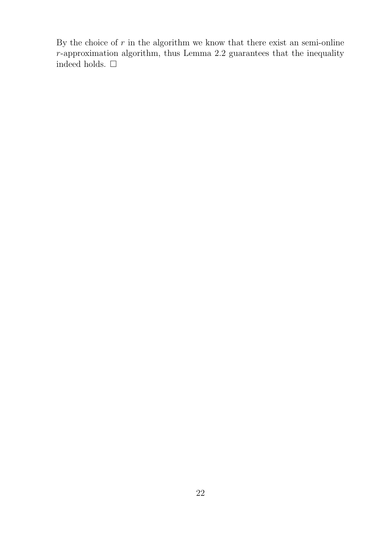By the choice of  $r$  in the algorithm we know that there exist an semi-online r-approximation algorithm, thus Lemma 2.2 guarantees that the inequality indeed holds.  $\Box$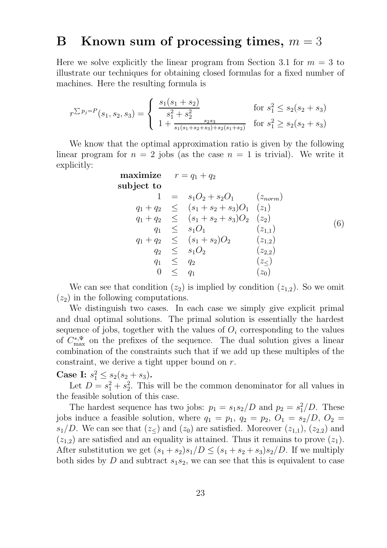## B Known sum of processing times,  $m = 3$

Here we solve explicitly the linear program from Section 3.1 for  $m = 3$  to illustrate our techniques for obtaining closed formulas for a fixed number of machines. Here the resulting formula is

$$
r^{\sum p_j = P}(s_1, s_2, s_3) = \begin{cases} \frac{s_1(s_1 + s_2)}{s_1^2 + s_2^2} & \text{for } s_1^2 \le s_2(s_2 + s_3) \\ 1 + \frac{s_2 s_3}{s_1(s_1 + s_2 + s_3) + s_2(s_1 + s_2)} & \text{for } s_1^2 \ge s_2(s_2 + s_3) \end{cases}
$$

We know that the optimal approximation ratio is given by the following linear program for  $n = 2$  jobs (as the case  $n = 1$  is trivial). We write it explicitly:

maximize 
$$
r = q_1 + q_2
$$
  
\nsubject to  
\n
$$
1 = s_1O_2 + s_2O_1 \t (z_{norm})
$$
\n
$$
q_1 + q_2 \leq (s_1 + s_2 + s_3)O_1 \t (z_1)
$$
\n
$$
q_1 + q_2 \leq (s_1 + s_2 + s_3)O_2 \t (z_2)
$$
\n
$$
q_1 \leq s_1O_1 \t (z_{1,1})
$$
\n
$$
q_1 + q_2 \leq (s_1 + s_2)O_2 \t (z_{1,2})
$$
\n
$$
q_2 \leq s_1O_2 \t (z_{2,2})
$$
\n
$$
q_1 \leq q_2 \t (z_{\leq})
$$
\n
$$
0 \leq q_1 \t (z_0)
$$

We can see that condition  $(z_2)$  is implied by condition  $(z_{1,2})$ . So we omit  $(z_2)$  in the following computations.

We distinguish two cases. In each case we simply give explicit primal and dual optimal solutions. The primal solution is essentially the hardest sequence of jobs, together with the values of  $O_i$  corresponding to the values of  $C_{\text{max}}^{*,\Psi}$  on the prefixes of the sequence. The dual solution gives a linear combination of the constraints such that if we add up these multiples of the constraint, we derive a tight upper bound on r.

Case I:  $s_1^2 \leq s_2(s_2 + s_3)$ .

Let  $D = s_1^2 + s_2^2$ 2 . This will be the common denominator for all values in the feasible solution of this case.

The hardest sequence has two jobs:  $p_1 = s_1 s_2/D$  and  $p_2 = s_1^2/D$ . These jobs induce a feasible solution, where  $q_1 = p_1$ ,  $q_2 = p_2$ ,  $O_1 = s_2/D$ ,  $O_2 =$  $s_1/D$ . We can see that  $(z_ \leq )$  and  $(z_0)$  are satisfied. Moreover  $(z_{1,1}), (z_{2,2})$  and  $(z_{1,2})$  are satisfied and an equality is attained. Thus it remains to prove  $(z_1)$ . After substitution we get  $(s_1 + s_2)s_1/D \leq (s_1 + s_2 + s_3)s_2/D$ . If we multiply both sides by D and subtract  $s_1s_2$ , we can see that this is equivalent to case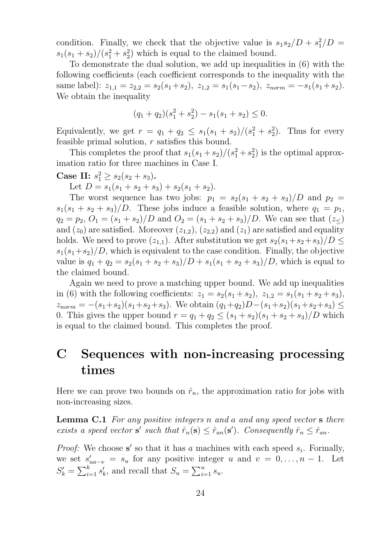condition. Finally, we check that the objective value is  $s_1s_2/D + s_1^2$  $^{2}_{1}/D =$  $s_1(s_1+s_2)/(s_1^2+s_2^2)$  $_2^2$ ) which is equal to the claimed bound.

To demonstrate the dual solution, we add up inequalities in (6) with the following coefficients (each coefficient corresponds to the inequality with the same label):  $z_{1,1} = z_{2,2} = s_2(s_1 + s_2), z_{1,2} = s_1(s_1 - s_2), z_{norm} = -s_1(s_1 + s_2).$ We obtain the inequality

$$
(q_1 + q_2)(s_1^2 + s_2^2) - s_1(s_1 + s_2) \le 0.
$$

Equivalently, we get  $r = q_1 + q_2 \leq s_1(s_1 + s_2)/(s_1^2 + s_2^2)$  $_{2}^{2}$ ). Thus for every feasible primal solution,  $r$  satisfies this bound.

This completes the proof that  $s_1(s_1 + s_2)/(s_1^2 + s_2^2)$  $_2^2$ ) is the optimal approximation ratio for three machines in Case I.

Case II:  $s_1^2 \geq s_2(s_2 + s_3)$ .

Let  $D = s_1(s_1 + s_2 + s_3) + s_2(s_1 + s_2)$ .

The worst sequence has two jobs:  $p_1 = s_2(s_1 + s_2 + s_3)/D$  and  $p_2 =$  $s_1(s_1 + s_2 + s_3)/D$ . These jobs induce a feasible solution, where  $q_1 = p_1$ ,  $q_2 = p_2, O_1 = (s_1 + s_2)/D$  and  $O_2 = (s_1 + s_2 + s_3)/D$ . We can see that  $(z_<)$ and  $(z_0)$  are satisfied. Moreover  $(z_{1,2})$ ,  $(z_{2,2})$  and  $(z_1)$  are satisfied and equality holds. We need to prove  $(z_{1,1})$ . After substitution we get  $s_2(s_1+s_2+s_3)/D \leq$  $s_1(s_1+s_2)/D$ , which is equivalent to the case condition. Finally, the objective value is  $q_1 + q_2 = s_2(s_1 + s_2 + s_3)/D + s_1(s_1 + s_2 + s_3)/D$ , which is equal to the claimed bound.

Again we need to prove a matching upper bound. We add up inequalities in (6) with the following coefficients:  $z_1 = s_2(s_1 + s_2), z_{1,2} = s_1(s_1 + s_2 + s_3),$  $z_{norm} = -(s_1+s_2)(s_1+s_2+s_3)$ . We obtain  $(q_1+q_2)D-(s_1+s_2)(s_1+s_2+s_3) \leq$ 0. This gives the upper bound  $r = q_1 + q_2 \le (s_1 + s_2)(s_1 + s_2 + s_3)/D$  which is equal to the claimed bound. This completes the proof.

## C Sequences with non-increasing processing times

Here we can prove two bounds on  $\hat{r}_n$ , the approximation ratio for jobs with non-increasing sizes.

**Lemma C.1** For any positive integers n and a and any speed vector **s** there exists a speed vector **s'** such that  $\hat{r}_n(\mathbf{s}) \leq \hat{r}_{an}(\mathbf{s}')$ . Consequently  $\hat{r}_n \leq \hat{r}_{an}$ .

*Proof:* We choose s' so that it has a machines with each speed  $s_i$ . Formally, we set  $s'_{ua-v} = s_u$  for any positive integer u and  $v = 0, \ldots, n-1$ . Let  $S'_k = \sum_{i=1}^k s'_k$ , and recall that  $S_u = \sum_{i=1}^u s_u$ .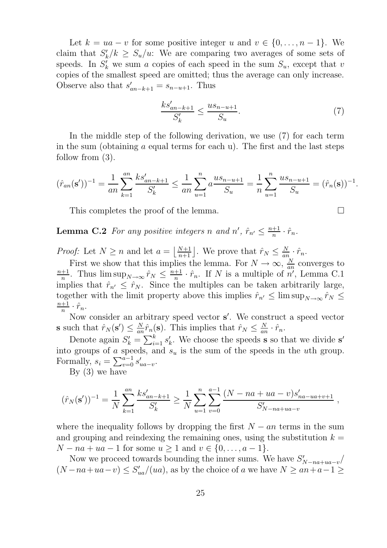Let  $k = ua - v$  for some positive integer u and  $v \in \{0, ..., n-1\}$ . We claim that  $S'_k/k \geq S_u/u$ : We are comparing two averages of some sets of speeds. In  $S'_k$  we sum a copies of each speed in the sum  $S_u$ , except that v copies of the smallest speed are omitted; thus the average can only increase. Observe also that  $s'_{an-k+1} = s_{n-u+1}$ . Thus

$$
\frac{ks'_{an-k+1}}{S'_k} \le \frac{us_{n-u+1}}{S_u}.\tag{7}
$$

In the middle step of the following derivation, we use (7) for each term in the sum (obtaining  $\alpha$  equal terms for each u). The first and the last steps follow from (3).

$$
(\hat{r}_{an}(\mathbf{s}'))^{-1} = \frac{1}{an} \sum_{k=1}^{an} \frac{ks'_{an-k+1}}{S'_k} \le \frac{1}{an} \sum_{u=1}^n a \frac{us_{n-u+1}}{S_u} = \frac{1}{n} \sum_{u=1}^n \frac{us_{n-u+1}}{S_u} = (\hat{r}_n(\mathbf{s}))^{-1}.
$$

This completes the proof of the lemma.

**Lemma C.2** For any positive integers n and  $n'$ ,  $\hat{r}_{n'} \leq \frac{n+1}{n}$  $\frac{+1}{n} \cdot \hat{r}_n$ .

*Proof:* Let  $N \ge n$  and let  $a = \left\lfloor \frac{N+1}{n+1} \right\rfloor$ . We prove that  $\hat{r}_N \le \frac{N}{an}$  $\frac{N}{an} \cdot \hat{r}_n.$ 

First we show that this implies the lemma. For  $N \to \infty$ ,  $\frac{N}{ar}$  $\frac{N}{an}$  converges to  $n+1$  $\frac{+1}{n}$ . Thus  $\limsup_{N\to\infty} \hat{r}_N \leq \frac{n+1}{n}$  $\frac{+1}{n} \cdot \hat{r}_n$ . If N is a multiple of n', Lemma C.1 implies that  $\hat{r}_{n'} \leq \hat{r}_N$ . Since the multiples can be taken arbitrarily large, together with the limit property above this implies  $\hat{r}_{n'} \leq \limsup_{N \to \infty} \hat{r}_N \leq$  $n+1$  $\frac{+1}{n} \cdot \hat{r}_n$ .

Now consider an arbitrary speed vector s'. We construct a speed vector **s** such that  $\hat{r}_N(\mathbf{s}') \leq \frac{N}{an}$  $\frac{N}{an}\hat{r}_n(\mathbf{s})$ . This implies that  $\hat{r}_N \leq \frac{N}{an}$  $\frac{N}{an} \cdot \hat{r}_n.$ 

Denote again  $S'_k = \sum_{i=1}^k s'_k$ . We choose the speeds **s** so that we divide **s'** into groups of a speeds, and  $s_u$  is the sum of the speeds in the uth group. Formally,  $s_i = \sum_{v=0}^{a-1} s'_{ua-v}$ .

By (3) we have

$$
(\hat{r}_N(\mathbf{s}'))^{-1} = \frac{1}{N} \sum_{k=1}^{an} \frac{ks'_{an-k+1}}{S'_k} \ge \frac{1}{N} \sum_{u=1}^n \sum_{v=0}^{a-1} \frac{(N-na+ua-v)s'_{na-ua+v+1}}{S'_{N-na+ua-v}} ,
$$

where the inequality follows by dropping the first  $N - an$  terms in the sum and grouping and reindexing the remaining ones, using the substitution  $k =$  $N - na + ua - 1$  for some  $u \ge 1$  and  $v \in \{0, ..., a - 1\}.$ 

Now we proceed towards bounding the inner sums. We have  $S'_{N-na+ua-v}/$  $(N - na + ua - v) \leq S'_{ua}/(ua)$ , as by the choice of a we have  $N \geq an + a - 1 \geq$